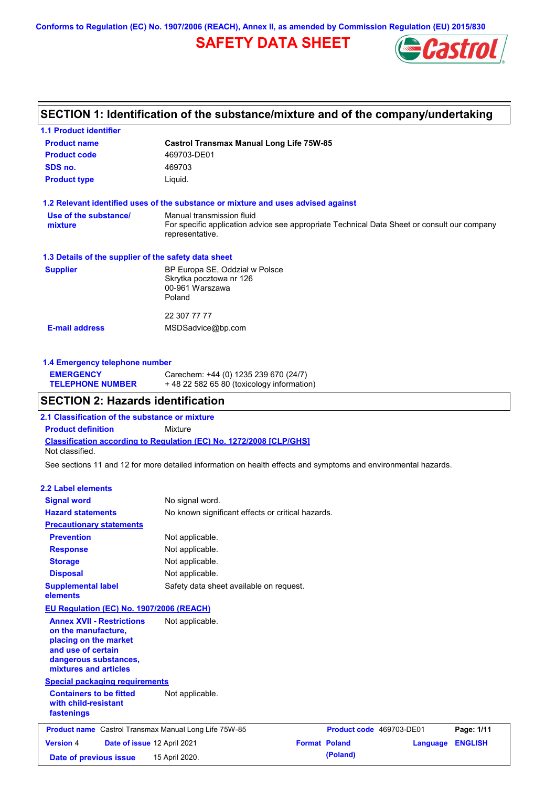**Conforms to Regulation (EC) No. 1907/2006 (REACH), Annex II, as amended by Commission Regulation (EU) 2015/830**

## **SAFETY DATA SHEET**



### **SECTION 1: Identification of the substance/mixture and of the company/undertaking**

| <b>Castrol Transmax Manual Long Life 75W-85</b>                                                                                             |  |  |  |
|---------------------------------------------------------------------------------------------------------------------------------------------|--|--|--|
| 469703-DE01                                                                                                                                 |  |  |  |
| 469703                                                                                                                                      |  |  |  |
| Liquid.                                                                                                                                     |  |  |  |
| 1.2 Relevant identified uses of the substance or mixture and uses advised against                                                           |  |  |  |
| Manual transmission fluid<br>For specific application advice see appropriate Technical Data Sheet or consult our company<br>representative. |  |  |  |
| 1.3 Details of the supplier of the safety data sheet                                                                                        |  |  |  |
| BP Europa SE, Oddział w Polsce<br>Skrytka pocztowa nr 126<br>00-961 Warszawa<br>Poland                                                      |  |  |  |
| 22 307 77 77                                                                                                                                |  |  |  |
| MSDSadvice@bp.com                                                                                                                           |  |  |  |
|                                                                                                                                             |  |  |  |

### **1.4 Emergency telephone number**

| <b>EMERGENCY</b>        | Carechem: +44 (0) 1235 239 670 (24/7)     |
|-------------------------|-------------------------------------------|
| <b>TELEPHONE NUMBER</b> | +48 22 582 65 80 (toxicology information) |

### **SECTION 2: Hazards identification**

**2.1 Classification of the substance or mixture**

**Classification according to Regulation (EC) No. 1272/2008 [CLP/GHS] Product definition** Mixture Not classified.

See sections 11 and 12 for more detailed information on health effects and symptoms and environmental hazards.

#### **2.2 Label elements**

| <b>Signal word</b><br><b>Hazard statements</b>                                                                                                           | No signal word.<br>No known significant effects or critical hazards. |                      |                          |          |                |
|----------------------------------------------------------------------------------------------------------------------------------------------------------|----------------------------------------------------------------------|----------------------|--------------------------|----------|----------------|
| <b>Precautionary statements</b>                                                                                                                          |                                                                      |                      |                          |          |                |
| <b>Prevention</b>                                                                                                                                        | Not applicable.                                                      |                      |                          |          |                |
| <b>Response</b>                                                                                                                                          | Not applicable.                                                      |                      |                          |          |                |
| <b>Storage</b>                                                                                                                                           | Not applicable.                                                      |                      |                          |          |                |
| <b>Disposal</b>                                                                                                                                          | Not applicable.                                                      |                      |                          |          |                |
| <b>Supplemental label</b><br>elements                                                                                                                    | Safety data sheet available on request.                              |                      |                          |          |                |
| <b>EU Regulation (EC) No. 1907/2006 (REACH)</b>                                                                                                          |                                                                      |                      |                          |          |                |
| <b>Annex XVII - Restrictions</b><br>on the manufacture,<br>placing on the market<br>and use of certain<br>dangerous substances,<br>mixtures and articles | Not applicable.                                                      |                      |                          |          |                |
| <b>Special packaging requirements</b>                                                                                                                    |                                                                      |                      |                          |          |                |
| <b>Containers to be fitted</b><br>with child-resistant<br>fastenings                                                                                     | Not applicable.                                                      |                      |                          |          |                |
| <b>Product name</b> Castrol Transmax Manual Long Life 75W-85                                                                                             |                                                                      |                      | Product code 469703-DE01 |          | Page: 1/11     |
| <b>Version 4</b><br>Date of issue 12 April 2021                                                                                                          |                                                                      | <b>Format Poland</b> |                          | Language | <b>ENGLISH</b> |
| Date of previous issue                                                                                                                                   | 15 April 2020.                                                       |                      | (Poland)                 |          |                |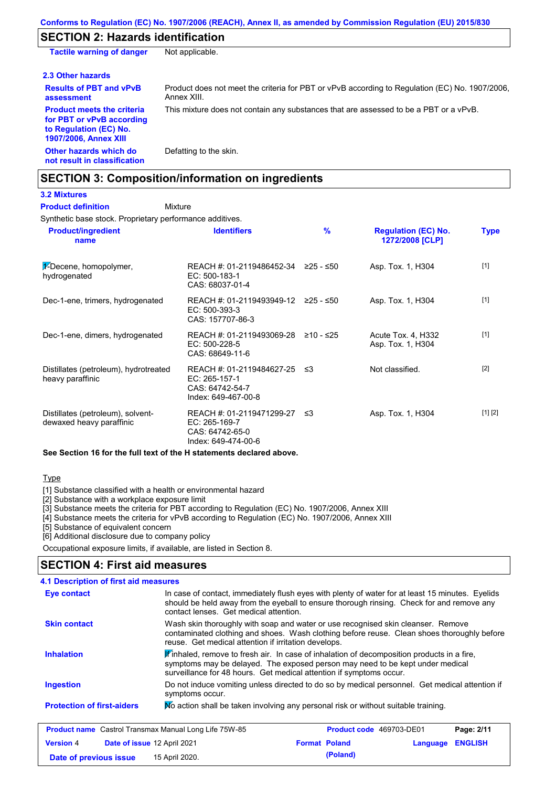### **SECTION 2: Hazards identification**

**Other hazards which do not result in classification** Defatting to the skin. **Tactile warning of danger** Not applicable. **2.3 Other hazards Results of PBT and vPvB assessment** Product does not meet the criteria for PBT or vPvB according to Regulation (EC) No. 1907/2006, Annex XIII. **Product meets the criteria for PBT or vPvB according to Regulation (EC) No. 1907/2006, Annex XIII** This mixture does not contain any substances that are assessed to be a PBT or a vPvB.

### **SECTION 3: Composition/information on ingredients**

**Mixture** 

#### **3.2 Mixtures Product definition**

Synthetic base stock. Proprietary performance additives.

| <b>Product/ingredient</b><br>name                             | <b>Identifiers</b>                                                                      | $\frac{9}{6}$ | <b>Regulation (EC) No.</b><br>1272/2008 [CLP] | <b>Type</b> |
|---------------------------------------------------------------|-----------------------------------------------------------------------------------------|---------------|-----------------------------------------------|-------------|
| $\frac{1}{2}$ -Decene, homopolymer,<br>hydrogenated           | REACH #: 01-2119486452-34<br>EC: 500-183-1<br>CAS: 68037-01-4                           | ≥25 - ≤50     | Asp. Tox. 1, H304                             | $[1]$       |
| Dec-1-ene, trimers, hydrogenated                              | REACH #: 01-2119493949-12 ≥25 - ≤50<br>EC: 500-393-3<br>CAS: 157707-86-3                |               | Asp. Tox. 1, H304                             | $[1]$       |
| Dec-1-ene, dimers, hydrogenated                               | REACH #: 01-2119493069-28<br>EC: 500-228-5<br>CAS: 68649-11-6                           | ≥10 - ≤25     | Acute Tox. 4, H332<br>Asp. Tox. 1, H304       | $[1]$       |
| Distillates (petroleum), hydrotreated<br>heavy paraffinic     | REACH #: 01-2119484627-25<br>EC: 265-157-1<br>CAS: 64742-54-7<br>Index: 649-467-00-8    | ≲3            | Not classified.                               | $[2]$       |
| Distillates (petroleum), solvent-<br>dewaxed heavy paraffinic | REACH #: 01-2119471299-27 ≤3<br>EC: 265-169-7<br>CAS: 64742-65-0<br>Index: 649-474-00-6 |               | Asp. Tox. 1, H304                             | [1] [2]     |

**See Section 16 for the full text of the H statements declared above.**

**Type** 

[1] Substance classified with a health or environmental hazard

[2] Substance with a workplace exposure limit

[3] Substance meets the criteria for PBT according to Regulation (EC) No. 1907/2006, Annex XIII

[4] Substance meets the criteria for vPvB according to Regulation (EC) No. 1907/2006, Annex XIII

**Date of previous issue 15 April 2020. (Poland) (Poland)** 

[5] Substance of equivalent concern

[6] Additional disclosure due to company policy

Occupational exposure limits, if available, are listed in Section 8.

### **SECTION 4: First aid measures**

| 4.1 Description of first aid measures                        |                                                                                                                                                                                                                                                                                                                                                                                                                                                                                             |                                                                                                                                                                                               |          |                |
|--------------------------------------------------------------|---------------------------------------------------------------------------------------------------------------------------------------------------------------------------------------------------------------------------------------------------------------------------------------------------------------------------------------------------------------------------------------------------------------------------------------------------------------------------------------------|-----------------------------------------------------------------------------------------------------------------------------------------------------------------------------------------------|----------|----------------|
| Eye contact                                                  | contact lenses. Get medical attention.                                                                                                                                                                                                                                                                                                                                                                                                                                                      | In case of contact, immediately flush eyes with plenty of water for at least 15 minutes. Eyelids<br>should be held away from the eyeball to ensure thorough rinsing. Check for and remove any |          |                |
| <b>Skin contact</b>                                          | Wash skin thoroughly with soap and water or use recognised skin cleanser. Remove<br>contaminated clothing and shoes. Wash clothing before reuse. Clean shoes thoroughly before<br>reuse. Get medical attention if irritation develops.<br>Winhaled, remove to fresh air. In case of inhalation of decomposition products in a fire,<br>symptoms may be delayed. The exposed person may need to be kept under medical<br>surveillance for 48 hours. Get medical attention if symptoms occur. |                                                                                                                                                                                               |          |                |
| <b>Inhalation</b>                                            |                                                                                                                                                                                                                                                                                                                                                                                                                                                                                             |                                                                                                                                                                                               |          |                |
| <b>Ingestion</b>                                             | symptoms occur.                                                                                                                                                                                                                                                                                                                                                                                                                                                                             | Do not induce vomiting unless directed to do so by medical personnel. Get medical attention if                                                                                                |          |                |
| <b>Protection of first-aiders</b>                            |                                                                                                                                                                                                                                                                                                                                                                                                                                                                                             | No action shall be taken involving any personal risk or without suitable training.                                                                                                            |          |                |
| <b>Product name</b> Castrol Transmax Manual Long Life 75W-85 |                                                                                                                                                                                                                                                                                                                                                                                                                                                                                             | <b>Product code</b> 469703-DE01                                                                                                                                                               |          | Page: 2/11     |
| <b>Version 4</b><br>Date of issue 12 April 2021              |                                                                                                                                                                                                                                                                                                                                                                                                                                                                                             | <b>Format Poland</b>                                                                                                                                                                          | Language | <b>ENGLISH</b> |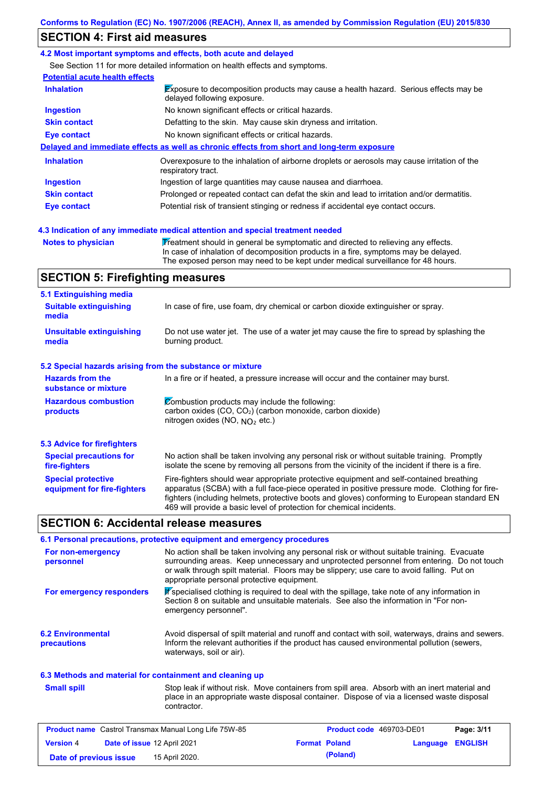### **SECTION 4: First aid measures**

#### **4.2 Most important symptoms and effects, both acute and delayed**

See Section 11 for more detailed information on health effects and symptoms.

| <b>Potential acute health effects</b> |                                                                                                                            |
|---------------------------------------|----------------------------------------------------------------------------------------------------------------------------|
| <b>Inhalation</b>                     | <b>Exposure to decomposition products may cause a health hazard. Serious effects may be</b><br>delayed following exposure. |
| <b>Ingestion</b>                      | No known significant effects or critical hazards.                                                                          |
| <b>Skin contact</b>                   | Defatting to the skin. May cause skin dryness and irritation.                                                              |
| Eye contact                           | No known significant effects or critical hazards.                                                                          |
|                                       | Delayed and immediate effects as well as chronic effects from short and long-term exposure                                 |
| <b>Inhalation</b>                     | Overexposure to the inhalation of airborne droplets or aerosols may cause irritation of the<br>respiratory tract.          |
| <b>Ingestion</b>                      | Ingestion of large quantities may cause nausea and diarrhoea.                                                              |
| <b>Skin contact</b>                   | Prolonged or repeated contact can defat the skin and lead to irritation and/or dermatitis.                                 |
|                                       |                                                                                                                            |

Notes to physician **Treatment should in general be symptomatic and directed to relieving any effects.** In case of inhalation of decomposition products in a fire, symptoms may be delayed. The exposed person may need to be kept under medical surveillance for 48 hours.

### **SECTION 5: Firefighting measures**

| 5.1 Extinguishing media                                   |                                                                                                                                                                                                                                                                                                                                                                   |
|-----------------------------------------------------------|-------------------------------------------------------------------------------------------------------------------------------------------------------------------------------------------------------------------------------------------------------------------------------------------------------------------------------------------------------------------|
| <b>Suitable extinguishing</b><br>media                    | In case of fire, use foam, dry chemical or carbon dioxide extinguisher or spray.                                                                                                                                                                                                                                                                                  |
| <b>Unsuitable extinguishing</b><br>media                  | Do not use water jet. The use of a water jet may cause the fire to spread by splashing the<br>burning product.                                                                                                                                                                                                                                                    |
| 5.2 Special hazards arising from the substance or mixture |                                                                                                                                                                                                                                                                                                                                                                   |
| <b>Hazards from the</b><br>substance or mixture           | In a fire or if heated, a pressure increase will occur and the container may burst.                                                                                                                                                                                                                                                                               |
| <b>Hazardous combustion</b><br>products                   | Combustion products may include the following:<br>carbon oxides $(CO, CO2)$ (carbon monoxide, carbon dioxide)<br>nitrogen oxides (NO, $NQ_2$ etc.)                                                                                                                                                                                                                |
| 5.3 Advice for firefighters                               |                                                                                                                                                                                                                                                                                                                                                                   |
| <b>Special precautions for</b><br>fire-fighters           | No action shall be taken involving any personal risk or without suitable training. Promptly<br>isolate the scene by removing all persons from the vicinity of the incident if there is a fire.                                                                                                                                                                    |
| <b>Special protective</b><br>equipment for fire-fighters  | Fire-fighters should wear appropriate protective equipment and self-contained breathing<br>apparatus (SCBA) with a full face-piece operated in positive pressure mode. Clothing for fire-<br>fighters (including helmets, protective boots and gloves) conforming to European standard EN<br>469 will provide a basic level of protection for chemical incidents. |

### **SECTION 6: Accidental release measures**

|                                                          | 6.1 Personal precautions, protective equipment and emergency procedures                                                                                                                                                                                                                                                             |
|----------------------------------------------------------|-------------------------------------------------------------------------------------------------------------------------------------------------------------------------------------------------------------------------------------------------------------------------------------------------------------------------------------|
| For non-emergency<br>personnel                           | No action shall be taken involving any personal risk or without suitable training. Evacuate<br>surrounding areas. Keep unnecessary and unprotected personnel from entering. Do not touch<br>or walk through spilt material. Floors may be slippery; use care to avoid falling. Put on<br>appropriate personal protective equipment. |
| For emergency responders                                 | K specialised clothing is required to deal with the spillage, take note of any information in<br>Section 8 on suitable and unsuitable materials. See also the information in "For non-<br>emergency personnel".                                                                                                                     |
| <b>6.2 Environmental</b><br>precautions                  | Avoid dispersal of spilt material and runoff and contact with soil, waterways, drains and sewers.<br>Inform the relevant authorities if the product has caused environmental pollution (sewers,<br>waterways, soil or air).                                                                                                         |
| 6.3 Methods and material for containment and cleaning up |                                                                                                                                                                                                                                                                                                                                     |

Stop leak if without risk. Move containers from spill area. Absorb with an inert material and place in an appropriate waste disposal container. Dispose of via a licensed waste disposal contractor. **Small spill**

|                        | <b>Product name</b> Castrol Transmax Manual Long Life 75W-85 |                      | <b>Product code</b> 469703-DE01 |                         | Page: 3/11 |
|------------------------|--------------------------------------------------------------|----------------------|---------------------------------|-------------------------|------------|
| <b>Version 4</b>       | Date of issue 12 April 2021                                  | <b>Format Poland</b> |                                 | <b>Language ENGLISH</b> |            |
| Date of previous issue | 15 April 2020.                                               |                      | (Poland)                        |                         |            |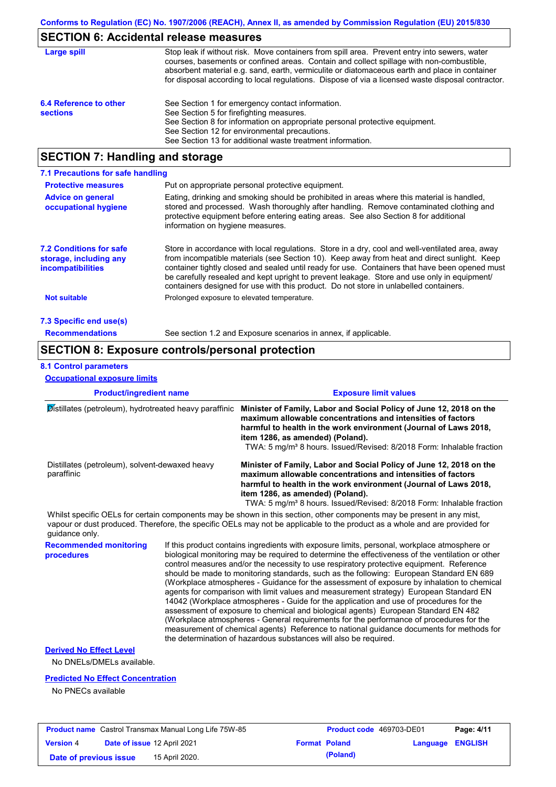### **SECTION 6: Accidental release measures**

| Large spill                               | Stop leak if without risk. Move containers from spill area. Prevent entry into sewers, water<br>courses, basements or confined areas. Contain and collect spillage with non-combustible,<br>absorbent material e.g. sand, earth, vermiculite or diatomaceous earth and place in container<br>for disposal according to local regulations. Dispose of via a licensed waste disposal contractor. |
|-------------------------------------------|------------------------------------------------------------------------------------------------------------------------------------------------------------------------------------------------------------------------------------------------------------------------------------------------------------------------------------------------------------------------------------------------|
| 6.4 Reference to other<br><b>sections</b> | See Section 1 for emergency contact information.<br>See Section 5 for firefighting measures.<br>See Section 8 for information on appropriate personal protective equipment.<br>See Section 12 for environmental precautions.<br>See Section 13 for additional waste treatment information.                                                                                                     |

# **SECTION 7: Handling and storage**

| 7.1 Precautions for safe handling                                                    |                                                                                                                                                                                                                                                                                                                                                                                                                                                                                          |  |  |  |  |
|--------------------------------------------------------------------------------------|------------------------------------------------------------------------------------------------------------------------------------------------------------------------------------------------------------------------------------------------------------------------------------------------------------------------------------------------------------------------------------------------------------------------------------------------------------------------------------------|--|--|--|--|
| <b>Protective measures</b><br>Put on appropriate personal protective equipment.      |                                                                                                                                                                                                                                                                                                                                                                                                                                                                                          |  |  |  |  |
| <b>Advice on general</b><br>occupational hygiene                                     | Eating, drinking and smoking should be prohibited in areas where this material is handled,<br>stored and processed. Wash thoroughly after handling. Remove contaminated clothing and<br>protective equipment before entering eating areas. See also Section 8 for additional<br>information on hygiene measures.                                                                                                                                                                         |  |  |  |  |
| <b>7.2 Conditions for safe</b><br>storage, including any<br><i>incompatibilities</i> | Store in accordance with local requiations. Store in a dry, cool and well-ventilated area, away<br>from incompatible materials (see Section 10). Keep away from heat and direct sunlight. Keep<br>container tightly closed and sealed until ready for use. Containers that have been opened must<br>be carefully resealed and kept upright to prevent leakage. Store and use only in equipment/<br>containers designed for use with this product. Do not store in unlabelled containers. |  |  |  |  |
| <b>Not suitable</b>                                                                  | Prolonged exposure to elevated temperature.                                                                                                                                                                                                                                                                                                                                                                                                                                              |  |  |  |  |
| 7.3 Specific end use(s)                                                              |                                                                                                                                                                                                                                                                                                                                                                                                                                                                                          |  |  |  |  |
| <b>Recommendations</b>                                                               | See section 1.2 and Exposure scenarios in annex, if applicable.                                                                                                                                                                                                                                                                                                                                                                                                                          |  |  |  |  |

### **SECTION 8: Exposure controls/personal protection**

#### **8.1 Control parameters**

**Occupational exposure limits**

| <b>Product/ingredient name</b><br>Distillates (petroleum), hydrotreated heavy paraffinic<br>Distillates (petroleum), solvent-dewaxed heavy<br>paraffinic |  | <b>Exposure limit values</b>                                                                                                                                                                                                                                                                                                                                                                                                                                                                                                                                                                                                                                                                                                                                                                                                                                                                                                                                                                                               |  |
|----------------------------------------------------------------------------------------------------------------------------------------------------------|--|----------------------------------------------------------------------------------------------------------------------------------------------------------------------------------------------------------------------------------------------------------------------------------------------------------------------------------------------------------------------------------------------------------------------------------------------------------------------------------------------------------------------------------------------------------------------------------------------------------------------------------------------------------------------------------------------------------------------------------------------------------------------------------------------------------------------------------------------------------------------------------------------------------------------------------------------------------------------------------------------------------------------------|--|
|                                                                                                                                                          |  | Minister of Family, Labor and Social Policy of June 12, 2018 on the<br>maximum allowable concentrations and intensities of factors<br>harmful to health in the work environment (Journal of Laws 2018,<br>item 1286, as amended) (Poland).<br>TWA: 5 mg/m <sup>3</sup> 8 hours. Issued/Revised: 8/2018 Form: Inhalable fraction                                                                                                                                                                                                                                                                                                                                                                                                                                                                                                                                                                                                                                                                                            |  |
|                                                                                                                                                          |  | Minister of Family, Labor and Social Policy of June 12, 2018 on the<br>maximum allowable concentrations and intensities of factors<br>harmful to health in the work environment (Journal of Laws 2018,<br>item 1286, as amended) (Poland).<br>TWA: 5 mg/m <sup>3</sup> 8 hours. Issued/Revised: 8/2018 Form: Inhalable fraction                                                                                                                                                                                                                                                                                                                                                                                                                                                                                                                                                                                                                                                                                            |  |
| quidance only.                                                                                                                                           |  | Whilst specific OELs for certain components may be shown in this section, other components may be present in any mist,<br>vapour or dust produced. Therefore, the specific OELs may not be applicable to the product as a whole and are provided for                                                                                                                                                                                                                                                                                                                                                                                                                                                                                                                                                                                                                                                                                                                                                                       |  |
| <b>Recommended monitoring</b><br>procedures                                                                                                              |  | If this product contains ingredients with exposure limits, personal, workplace atmosphere or<br>biological monitoring may be required to determine the effectiveness of the ventilation or other<br>control measures and/or the necessity to use respiratory protective equipment. Reference<br>should be made to monitoring standards, such as the following: European Standard EN 689<br>(Workplace atmospheres - Guidance for the assessment of exposure by inhalation to chemical<br>agents for comparison with limit values and measurement strategy) European Standard EN<br>14042 (Workplace atmospheres - Guide for the application and use of procedures for the<br>assessment of exposure to chemical and biological agents) European Standard EN 482<br>(Workplace atmospheres - General requirements for the performance of procedures for the<br>measurement of chemical agents) Reference to national guidance documents for methods for<br>the determination of hazardous substances will also be required. |  |
| <b>Derived No Effect Level</b><br>No DNELs/DMELs available.                                                                                              |  |                                                                                                                                                                                                                                                                                                                                                                                                                                                                                                                                                                                                                                                                                                                                                                                                                                                                                                                                                                                                                            |  |
| <b>Predicted No Effect Concentration</b><br>No PNECs available                                                                                           |  |                                                                                                                                                                                                                                                                                                                                                                                                                                                                                                                                                                                                                                                                                                                                                                                                                                                                                                                                                                                                                            |  |

|                        |                             | <b>Product name</b> Castrol Transmax Manual Long Life 75W-85 |                      | <b>Product code</b> 469703-DE01 |                         | Page: 4/11 |
|------------------------|-----------------------------|--------------------------------------------------------------|----------------------|---------------------------------|-------------------------|------------|
| <b>Version 4</b>       | Date of issue 12 April 2021 |                                                              | <b>Format Poland</b> |                                 | <b>Language ENGLISH</b> |            |
| Date of previous issue |                             | 15 April 2020.                                               |                      | (Poland)                        |                         |            |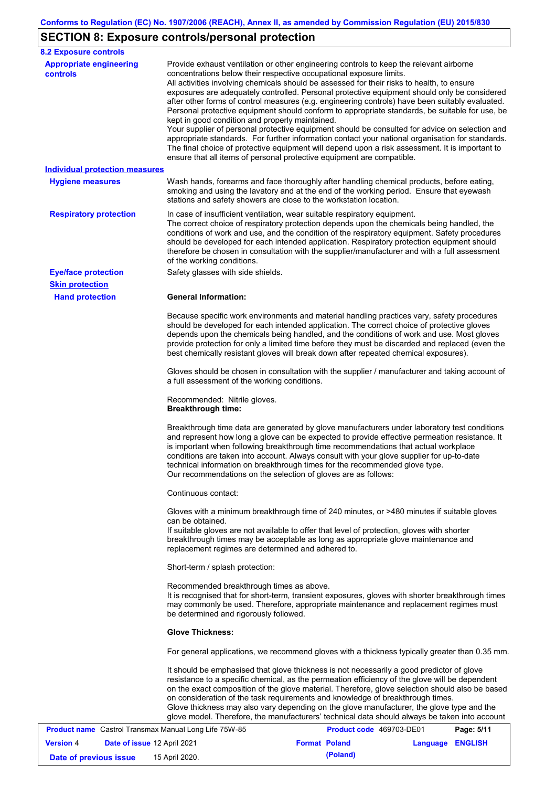## **SECTION 8: Exposure controls/personal protection**

| <b>8.2 Exposure controls</b>                                 |                                                                                                                                                                                                  |                                                                                                                                                                                                                                                                                                                                                                                                                                                                                                                                                                                                                                                                                                                                                                                                     |            |
|--------------------------------------------------------------|--------------------------------------------------------------------------------------------------------------------------------------------------------------------------------------------------|-----------------------------------------------------------------------------------------------------------------------------------------------------------------------------------------------------------------------------------------------------------------------------------------------------------------------------------------------------------------------------------------------------------------------------------------------------------------------------------------------------------------------------------------------------------------------------------------------------------------------------------------------------------------------------------------------------------------------------------------------------------------------------------------------------|------------|
| <b>Appropriate engineering</b><br>controls                   | concentrations below their respective occupational exposure limits.<br>kept in good condition and properly maintained.<br>ensure that all items of personal protective equipment are compatible. | Provide exhaust ventilation or other engineering controls to keep the relevant airborne<br>All activities involving chemicals should be assessed for their risks to health, to ensure<br>exposures are adequately controlled. Personal protective equipment should only be considered<br>after other forms of control measures (e.g. engineering controls) have been suitably evaluated.<br>Personal protective equipment should conform to appropriate standards, be suitable for use, be<br>Your supplier of personal protective equipment should be consulted for advice on selection and<br>appropriate standards. For further information contact your national organisation for standards.<br>The final choice of protective equipment will depend upon a risk assessment. It is important to |            |
| <b>Individual protection measures</b>                        |                                                                                                                                                                                                  |                                                                                                                                                                                                                                                                                                                                                                                                                                                                                                                                                                                                                                                                                                                                                                                                     |            |
| <b>Hygiene measures</b>                                      | stations and safety showers are close to the workstation location.                                                                                                                               | Wash hands, forearms and face thoroughly after handling chemical products, before eating,<br>smoking and using the lavatory and at the end of the working period. Ensure that eyewash                                                                                                                                                                                                                                                                                                                                                                                                                                                                                                                                                                                                               |            |
| <b>Respiratory protection</b>                                | In case of insufficient ventilation, wear suitable respiratory equipment.<br>of the working conditions.                                                                                          | The correct choice of respiratory protection depends upon the chemicals being handled, the<br>conditions of work and use, and the condition of the respiratory equipment. Safety procedures<br>should be developed for each intended application. Respiratory protection equipment should<br>therefore be chosen in consultation with the supplier/manufacturer and with a full assessment                                                                                                                                                                                                                                                                                                                                                                                                          |            |
| <b>Eye/face protection</b>                                   | Safety glasses with side shields.                                                                                                                                                                |                                                                                                                                                                                                                                                                                                                                                                                                                                                                                                                                                                                                                                                                                                                                                                                                     |            |
| <b>Skin protection</b>                                       |                                                                                                                                                                                                  |                                                                                                                                                                                                                                                                                                                                                                                                                                                                                                                                                                                                                                                                                                                                                                                                     |            |
| <b>Hand protection</b>                                       | <b>General Information:</b>                                                                                                                                                                      | Because specific work environments and material handling practices vary, safety procedures<br>should be developed for each intended application. The correct choice of protective gloves<br>depends upon the chemicals being handled, and the conditions of work and use. Most gloves<br>provide protection for only a limited time before they must be discarded and replaced (even the<br>best chemically resistant gloves will break down after repeated chemical exposures).                                                                                                                                                                                                                                                                                                                    |            |
|                                                              | a full assessment of the working conditions.                                                                                                                                                     | Gloves should be chosen in consultation with the supplier / manufacturer and taking account of                                                                                                                                                                                                                                                                                                                                                                                                                                                                                                                                                                                                                                                                                                      |            |
|                                                              | Recommended: Nitrile gloves.<br><b>Breakthrough time:</b>                                                                                                                                        |                                                                                                                                                                                                                                                                                                                                                                                                                                                                                                                                                                                                                                                                                                                                                                                                     |            |
|                                                              | Our recommendations on the selection of gloves are as follows:                                                                                                                                   | Breakthrough time data are generated by glove manufacturers under laboratory test conditions<br>and represent how long a glove can be expected to provide effective permeation resistance. It<br>is important when following breakthrough time recommendations that actual workplace<br>conditions are taken into account. Always consult with your glove supplier for up-to-date<br>technical information on breakthrough times for the recommended glove type.                                                                                                                                                                                                                                                                                                                                    |            |
|                                                              | Continuous contact:                                                                                                                                                                              |                                                                                                                                                                                                                                                                                                                                                                                                                                                                                                                                                                                                                                                                                                                                                                                                     |            |
|                                                              | can be obtained.<br>replacement regimes are determined and adhered to.                                                                                                                           | Gloves with a minimum breakthrough time of 240 minutes, or >480 minutes if suitable gloves<br>If suitable gloves are not available to offer that level of protection, gloves with shorter<br>breakthrough times may be acceptable as long as appropriate glove maintenance and                                                                                                                                                                                                                                                                                                                                                                                                                                                                                                                      |            |
|                                                              | Short-term / splash protection:                                                                                                                                                                  |                                                                                                                                                                                                                                                                                                                                                                                                                                                                                                                                                                                                                                                                                                                                                                                                     |            |
|                                                              | Recommended breakthrough times as above.<br>be determined and rigorously followed.                                                                                                               | It is recognised that for short-term, transient exposures, gloves with shorter breakthrough times<br>may commonly be used. Therefore, appropriate maintenance and replacement regimes must                                                                                                                                                                                                                                                                                                                                                                                                                                                                                                                                                                                                          |            |
|                                                              | <b>Glove Thickness:</b>                                                                                                                                                                          |                                                                                                                                                                                                                                                                                                                                                                                                                                                                                                                                                                                                                                                                                                                                                                                                     |            |
|                                                              |                                                                                                                                                                                                  | For general applications, we recommend gloves with a thickness typically greater than 0.35 mm.                                                                                                                                                                                                                                                                                                                                                                                                                                                                                                                                                                                                                                                                                                      |            |
|                                                              |                                                                                                                                                                                                  | It should be emphasised that glove thickness is not necessarily a good predictor of glove<br>resistance to a specific chemical, as the permeation efficiency of the glove will be dependent<br>on the exact composition of the glove material. Therefore, glove selection should also be based<br>on consideration of the task requirements and knowledge of breakthrough times.<br>Glove thickness may also vary depending on the glove manufacturer, the glove type and the<br>glove model. Therefore, the manufacturers' technical data should always be taken into account                                                                                                                                                                                                                      |            |
| <b>Product name</b> Castrol Transmax Manual Long Life 75W-85 |                                                                                                                                                                                                  | Product code 469703-DE01                                                                                                                                                                                                                                                                                                                                                                                                                                                                                                                                                                                                                                                                                                                                                                            | Page: 5/11 |

|                        | <b>Product name</b> Castrol Transmax Manual Long Life 75W-85 | <b>Product code</b> 469703-DE01 |                  | Page: 5/11 |
|------------------------|--------------------------------------------------------------|---------------------------------|------------------|------------|
| <b>Version 4</b>       | <b>Date of issue 12 April 2021</b>                           | <b>Format Poland</b>            | Language ENGLISH |            |
| Date of previous issue | 15 April 2020.                                               | (Poland)                        |                  |            |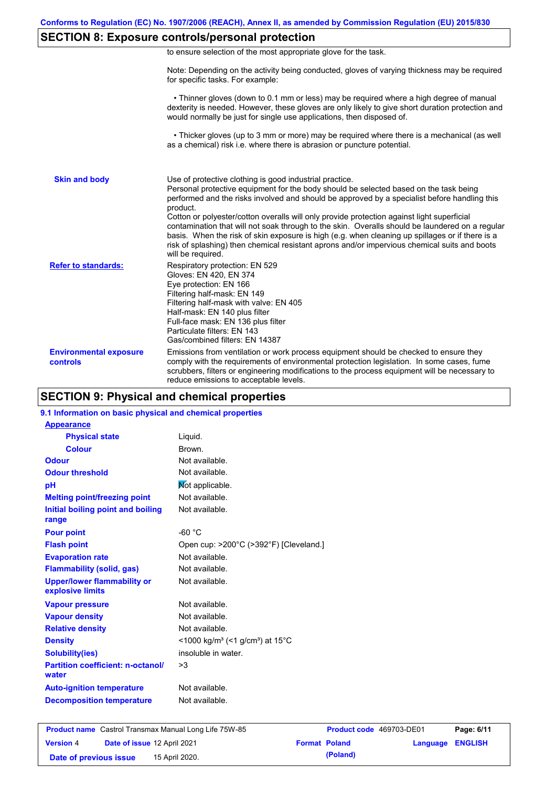### **SECTION 8: Exposure controls/personal protection**

|  | to ensure selection of the most appropriate glove for the task. |  |  |  |  |
|--|-----------------------------------------------------------------|--|--|--|--|
|  |                                                                 |  |  |  |  |

Note: Depending on the activity being conducted, gloves of varying thickness may be required for specific tasks. For example:

 • Thinner gloves (down to 0.1 mm or less) may be required where a high degree of manual dexterity is needed. However, these gloves are only likely to give short duration protection and would normally be just for single use applications, then disposed of.

 • Thicker gloves (up to 3 mm or more) may be required where there is a mechanical (as well as a chemical) risk i.e. where there is abrasion or puncture potential.

| <b>Skin and body</b>                             | Use of protective clothing is good industrial practice.<br>Personal protective equipment for the body should be selected based on the task being<br>performed and the risks involved and should be approved by a specialist before handling this<br>product.<br>Cotton or polyester/cotton overalls will only provide protection against light superficial<br>contamination that will not soak through to the skin. Overalls should be laundered on a regular<br>basis. When the risk of skin exposure is high (e.g. when cleaning up spillages or if there is a<br>risk of splashing) then chemical resistant aprons and/or impervious chemical suits and boots<br>will be required. |
|--------------------------------------------------|---------------------------------------------------------------------------------------------------------------------------------------------------------------------------------------------------------------------------------------------------------------------------------------------------------------------------------------------------------------------------------------------------------------------------------------------------------------------------------------------------------------------------------------------------------------------------------------------------------------------------------------------------------------------------------------|
| <b>Refer to standards:</b>                       | Respiratory protection: EN 529<br>Gloves: EN 420, EN 374<br>Eye protection: EN 166<br>Filtering half-mask: EN 149<br>Filtering half-mask with valve: EN 405<br>Half-mask: EN 140 plus filter<br>Full-face mask: EN 136 plus filter<br>Particulate filters: EN 143<br>Gas/combined filters: EN 14387                                                                                                                                                                                                                                                                                                                                                                                   |
| <b>Environmental exposure</b><br><b>controls</b> | Emissions from ventilation or work process equipment should be checked to ensure they<br>comply with the requirements of environmental protection legislation. In some cases, fume<br>scrubbers, filters or engineering modifications to the process equipment will be necessary to<br>reduce emissions to acceptable levels.                                                                                                                                                                                                                                                                                                                                                         |

### **SECTION 9: Physical and chemical properties**

#### **9.1 Information on basic physical and chemical properties**

| <b>Appearance</b>                                      |                                                                      |
|--------------------------------------------------------|----------------------------------------------------------------------|
| <b>Physical state</b>                                  | Liquid.                                                              |
| <b>Colour</b>                                          | Brown.                                                               |
| Odour                                                  | Not available.                                                       |
| <b>Odour threshold</b>                                 | Not available.                                                       |
| рH                                                     | Not applicable.                                                      |
| <b>Melting point/freezing point</b>                    | Not available.                                                       |
| Initial boiling point and boiling                      | Not available.                                                       |
| range                                                  |                                                                      |
| <b>Pour point</b>                                      | $-60 °C$                                                             |
| <b>Flash point</b>                                     | Open cup: >200°C (>392°F) [Cleveland.]                               |
| <b>Evaporation rate</b>                                | Not available.                                                       |
| <b>Flammability (solid, gas)</b>                       | Not available.                                                       |
| <b>Upper/lower flammability or</b><br>explosive limits | Not available.                                                       |
| <b>Vapour pressure</b>                                 | Not available.                                                       |
| <b>Vapour density</b>                                  | Not available.                                                       |
| <b>Relative density</b>                                | Not available.                                                       |
| <b>Density</b>                                         | <1000 kg/m <sup>3</sup> (<1 g/cm <sup>3</sup> ) at 15 <sup>°</sup> C |
| <b>Solubility(ies)</b>                                 | insoluble in water.                                                  |
| <b>Partition coefficient: n-octanol/</b><br>water      | >3                                                                   |
| <b>Auto-ignition temperature</b>                       | Not available.                                                       |
| <b>Decomposition temperature</b>                       | Not available.                                                       |

|                        |                             | <b>Product name</b> Castrol Transmax Manual Long Life 75W-85 | <b>Product code</b> 469703-DE01 |                         | Page: 6/11 |
|------------------------|-----------------------------|--------------------------------------------------------------|---------------------------------|-------------------------|------------|
| <b>Version 4</b>       | Date of issue 12 April 2021 |                                                              | <b>Format Poland</b>            | <b>Language ENGLISH</b> |            |
| Date of previous issue |                             | 15 April 2020.                                               | (Poland)                        |                         |            |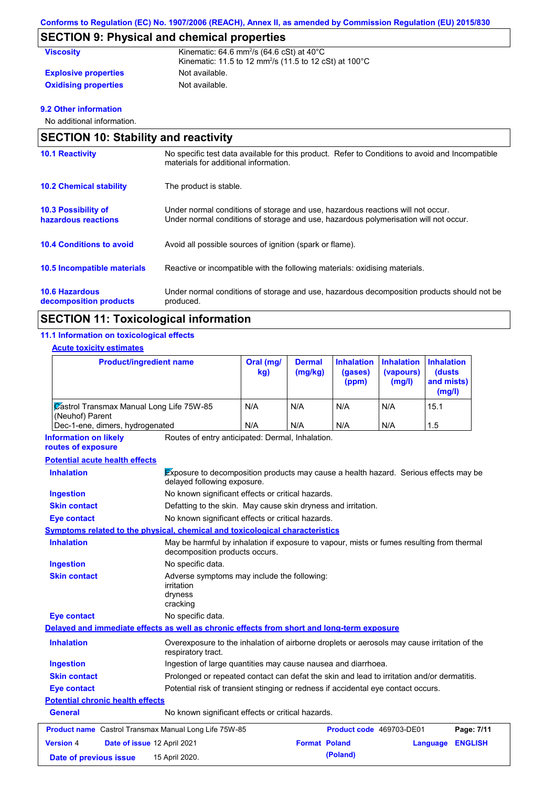### **SECTION 9: Physical and chemical properties**

| <b>Viscosity</b>            | Kinematic: 64.6 mm <sup>2</sup> /s (64.6 cSt) at $40^{\circ}$ C<br>Kinematic: 11.5 to 12 mm <sup>2</sup> /s (11.5 to 12 cSt) at 100 $^{\circ}$ C |
|-----------------------------|--------------------------------------------------------------------------------------------------------------------------------------------------|
| <b>Explosive properties</b> | Not available.                                                                                                                                   |
| <b>Oxidising properties</b> | Not available.                                                                                                                                   |

#### **9.2 Other information**

No additional information.

| <b>SECTION 10: Stability and reactivity</b>       |                                                                                                                                                                         |
|---------------------------------------------------|-------------------------------------------------------------------------------------------------------------------------------------------------------------------------|
| <b>10.1 Reactivity</b>                            | No specific test data available for this product. Refer to Conditions to avoid and Incompatible<br>materials for additional information.                                |
| <b>10.2 Chemical stability</b>                    | The product is stable.                                                                                                                                                  |
| <b>10.3 Possibility of</b><br>hazardous reactions | Under normal conditions of storage and use, hazardous reactions will not occur.<br>Under normal conditions of storage and use, hazardous polymerisation will not occur. |
| <b>10.4 Conditions to avoid</b>                   | Avoid all possible sources of ignition (spark or flame).                                                                                                                |
| 10.5 Incompatible materials                       | Reactive or incompatible with the following materials: oxidising materials.                                                                                             |
| <b>10.6 Hazardous</b><br>decomposition products   | Under normal conditions of storage and use, hazardous decomposition products should not be<br>produced.                                                                 |

### **SECTION 11: Toxicological information**

#### **11.1 Information on toxicological effects**

#### **Acute toxicity estimates**

| <b>Product/ingredient name</b>                                     | Oral (mg/<br>kg) | <b>Dermal</b><br>(mg/kg) | (gases)<br>(ppm) | Inhalation Inhalation<br>(vapours)<br>(mg/l) | <b>Inhalation</b><br><b>(dusts)</b><br>and mists)<br>(mg/l) |
|--------------------------------------------------------------------|------------------|--------------------------|------------------|----------------------------------------------|-------------------------------------------------------------|
| <b>Zastrol Transmax Manual Long Life 75W-85</b><br>(Neuhof) Parent | N/A              | N/A                      | N/A              | N/A                                          | 15.1                                                        |
| Dec-1-ene, dimers, hydrogenated                                    | N/A              | N/A                      | N/A              | N/A                                          | 1.5                                                         |

Routes of entry anticipated: Dermal, Inhalation. **Information on likely** 

#### **routes of exposure**

#### **Potential chronic health effects Potential acute health effects Inhalation** Exposure to decomposition products may cause a health hazard. Serious effects may be delayed following exposure. **Ingestion** No known significant effects or critical hazards. **Skin contact** Defatting to the skin. May cause skin dryness and irritation. **Eye contact** No known significant effects or critical hazards. **General** No known significant effects or critical hazards. **Symptoms related to the physical, chemical and toxicological characteristics Skin contact Ingestion Inhalation** May be harmful by inhalation if exposure to vapour, mists or fumes resulting from thermal decomposition products occurs. No specific data. Adverse symptoms may include the following: irritation dryness cracking **Eye contact** No specific data. **Delayed and immediate effects as well as chronic effects from short and long-term exposure Inhalation Ingestion Skin contact Eye contact** Overexposure to the inhalation of airborne droplets or aerosols may cause irritation of the respiratory tract. Ingestion of large quantities may cause nausea and diarrhoea. Prolonged or repeated contact can defat the skin and lead to irritation and/or dermatitis. Potential risk of transient stinging or redness if accidental eye contact occurs. **Product name** Castrol Transmax Manual Long Life 75W-85 **Product code** 469703-DE01 **Page: 7/11 Version** 4 **Date of issue** 12 April 2021 **Format Poland Language ENGLISH Date of previous issue 15 April 2020. (Poland) (Poland)**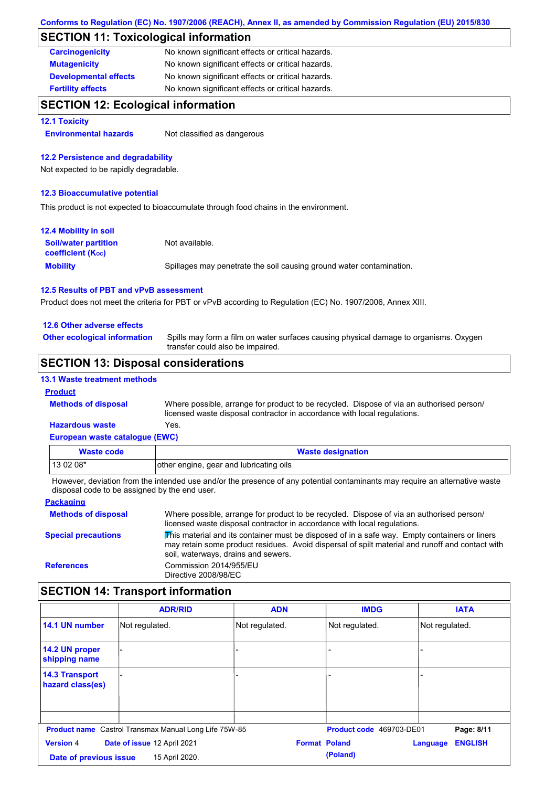### **SECTION 11: Toxicological information**

| <b>Carcinogenicity</b>       | No known significant effects or critical hazards. |
|------------------------------|---------------------------------------------------|
| <b>Mutagenicity</b>          | No known significant effects or critical hazards. |
| <b>Developmental effects</b> | No known significant effects or critical hazards. |
| <b>Fertility effects</b>     | No known significant effects or critical hazards. |

### **SECTION 12: Ecological information**

#### **12.1 Toxicity**

**Environmental hazards** Not classified as dangerous

#### **12.2 Persistence and degradability**

Not expected to be rapidly degradable.

#### **12.3 Bioaccumulative potential**

This product is not expected to bioaccumulate through food chains in the environment.

| <b>12.4 Mobility in soil</b>                            |                                                                      |
|---------------------------------------------------------|----------------------------------------------------------------------|
| <b>Soil/water partition</b><br><b>coefficient (Koc)</b> | Not available.                                                       |
| <b>Mobility</b>                                         | Spillages may penetrate the soil causing ground water contamination. |

#### **12.5 Results of PBT and vPvB assessment**

Product does not meet the criteria for PBT or vPvB according to Regulation (EC) No. 1907/2006, Annex XIII.

#### **12.6 Other adverse effects**

**Other ecological information**

Spills may form a film on water surfaces causing physical damage to organisms. Oxygen transfer could also be impaired.

### **SECTION 13: Disposal considerations**

#### **13.1 Waste treatment methods**

#### **Product**

**Methods of disposal**

Where possible, arrange for product to be recycled. Dispose of via an authorised person/ licensed waste disposal contractor in accordance with local regulations.

#### **European waste catalogue (EWC) Hazardous waste** Yes.

| Waste code | <b>Waste designation</b>                |
|------------|-----------------------------------------|
| $130208*$  | other engine, gear and lubricating oils |

However, deviation from the intended use and/or the presence of any potential contaminants may require an alternative waste disposal code to be assigned by the end user.

#### **Packaging Methods of disposal Special precautions** Where possible, arrange for product to be recycled. Dispose of via an authorised person/ licensed waste disposal contractor in accordance with local regulations. This material and its container must be disposed of in a safe way. Empty containers or liners may retain some product residues. Avoid dispersal of spilt material and runoff and contact with soil, waterways, drains and sewers. **References** Commission 2014/955/EU Directive 2008/98/EC

### **SECTION 14: Transport information**

|                                           | <b>ADR/RID</b>                                               | <b>ADN</b>     | <b>IMDG</b>              | <b>IATA</b>                |
|-------------------------------------------|--------------------------------------------------------------|----------------|--------------------------|----------------------------|
| 14.1 UN number                            | Not regulated.                                               | Not regulated. | Not regulated.           | Not regulated.             |
| 14.2 UN proper<br>shipping name           |                                                              |                |                          |                            |
| <b>14.3 Transport</b><br>hazard class(es) |                                                              |                |                          |                            |
|                                           |                                                              |                |                          |                            |
|                                           | <b>Product name</b> Castrol Transmax Manual Long Life 75W-85 |                | Product code 469703-DE01 | Page: 8/11                 |
| <b>Version 4</b>                          | Date of issue 12 April 2021                                  |                | <b>Format Poland</b>     | <b>ENGLISH</b><br>Language |
| Date of previous issue                    | 15 April 2020.                                               |                | (Poland)                 |                            |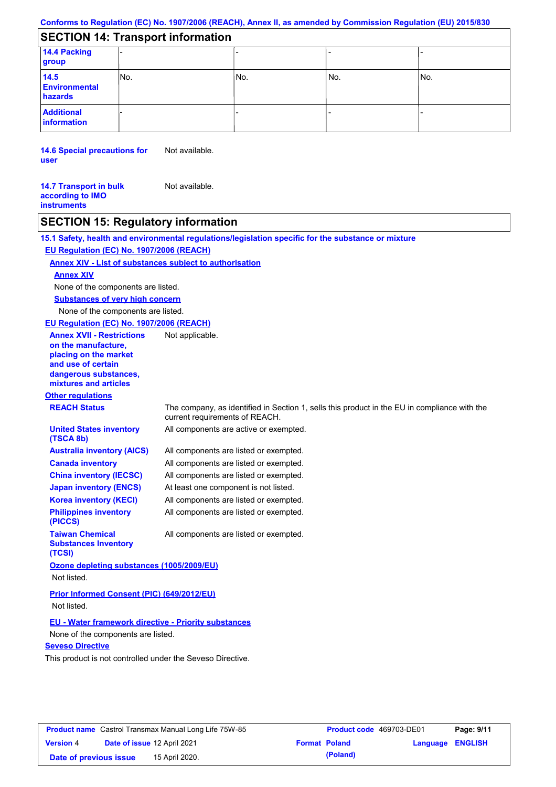### **SECTION 14: Transport information**

| 14.4 Packing<br>group                   |      |     |     |      |
|-----------------------------------------|------|-----|-----|------|
| 14.5<br><b>Environmental</b><br>hazards | INo. | No. | No. | lNo. |
| <b>Additional</b><br>information        |      |     |     |      |

**14.6 Special precautions for user** Not available.

**14.7 Transport in bulk according to IMO instruments** Not available.

## **SECTION 15: Regulatory information**

|                                                                                                                                                          | 15.1 Safety, health and environmental regulations/legislation specific for the substance or mixture                            |
|----------------------------------------------------------------------------------------------------------------------------------------------------------|--------------------------------------------------------------------------------------------------------------------------------|
| EU Regulation (EC) No. 1907/2006 (REACH)                                                                                                                 |                                                                                                                                |
| <b>Annex XIV - List of substances subject to authorisation</b>                                                                                           |                                                                                                                                |
| <b>Annex XIV</b>                                                                                                                                         |                                                                                                                                |
| None of the components are listed.                                                                                                                       |                                                                                                                                |
| <b>Substances of very high concern</b>                                                                                                                   |                                                                                                                                |
| None of the components are listed.                                                                                                                       |                                                                                                                                |
| EU Regulation (EC) No. 1907/2006 (REACH)                                                                                                                 |                                                                                                                                |
| <b>Annex XVII - Restrictions</b><br>on the manufacture,<br>placing on the market<br>and use of certain<br>dangerous substances,<br>mixtures and articles | Not applicable.                                                                                                                |
| <b>Other regulations</b>                                                                                                                                 |                                                                                                                                |
| <b>REACH Status</b>                                                                                                                                      | The company, as identified in Section 1, sells this product in the EU in compliance with the<br>current requirements of REACH. |
| <b>United States inventory</b><br>(TSCA 8b)                                                                                                              | All components are active or exempted.                                                                                         |
| <b>Australia inventory (AICS)</b>                                                                                                                        | All components are listed or exempted.                                                                                         |
| <b>Canada inventory</b>                                                                                                                                  | All components are listed or exempted.                                                                                         |
| <b>China inventory (IECSC)</b>                                                                                                                           | All components are listed or exempted.                                                                                         |
| <b>Japan inventory (ENCS)</b>                                                                                                                            | At least one component is not listed.                                                                                          |
| <b>Korea inventory (KECI)</b>                                                                                                                            | All components are listed or exempted.                                                                                         |
| <b>Philippines inventory</b><br>(PICCS)                                                                                                                  | All components are listed or exempted.                                                                                         |
| <b>Taiwan Chemical</b><br><b>Substances Inventory</b><br>(TCSI)                                                                                          | All components are listed or exempted.                                                                                         |
| Ozone depleting substances (1005/2009/EU)                                                                                                                |                                                                                                                                |
| Not listed.                                                                                                                                              |                                                                                                                                |
| <b>Prior Informed Consent (PIC) (649/2012/EU)</b>                                                                                                        |                                                                                                                                |
| Not listed.                                                                                                                                              |                                                                                                                                |
|                                                                                                                                                          |                                                                                                                                |
| <b>EU - Water framework directive - Priority substances</b>                                                                                              |                                                                                                                                |
| None of the components are listed.<br><b>Seveso Directive</b>                                                                                            |                                                                                                                                |
| This product is not controlled under the Seveso Directive.                                                                                               |                                                                                                                                |
|                                                                                                                                                          |                                                                                                                                |
|                                                                                                                                                          |                                                                                                                                |
|                                                                                                                                                          |                                                                                                                                |

| <b>Product name</b> Castrol Transmax Manual Long Life 75W-85 |                             | Product code 469703-DE01 |                      | Page: 9/11 |                         |  |
|--------------------------------------------------------------|-----------------------------|--------------------------|----------------------|------------|-------------------------|--|
| <b>Version 4</b>                                             | Date of issue 12 April 2021 |                          | <b>Format Poland</b> |            | <b>Language ENGLISH</b> |  |
| Date of previous issue                                       |                             | 15 April 2020.           |                      | (Poland)   |                         |  |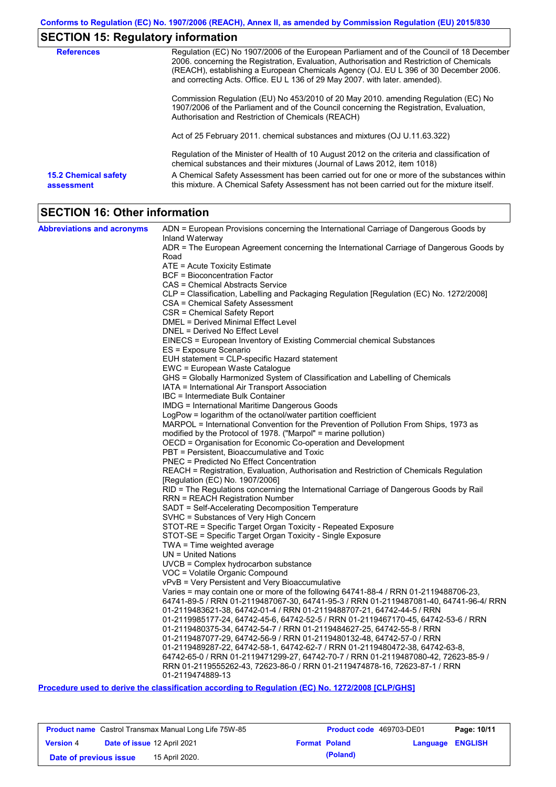## **SECTION 15: Regulatory information**

| <b>References</b>                         | Regulation (EC) No 1907/2006 of the European Parliament and of the Council of 18 December<br>2006. concerning the Registration, Evaluation, Authorisation and Restriction of Chemicals<br>(REACH), establishing a European Chemicals Agency (OJ. EU L 396 of 30 December 2006.<br>and correcting Acts. Office. EU L 136 of 29 May 2007. with later. amended). |
|-------------------------------------------|---------------------------------------------------------------------------------------------------------------------------------------------------------------------------------------------------------------------------------------------------------------------------------------------------------------------------------------------------------------|
|                                           | Commission Regulation (EU) No 453/2010 of 20 May 2010. amending Regulation (EC) No<br>1907/2006 of the Parliament and of the Council concerning the Registration, Evaluation,<br>Authorisation and Restriction of Chemicals (REACH)                                                                                                                           |
|                                           | Act of 25 February 2011. chemical substances and mixtures (OJ U.11.63.322)                                                                                                                                                                                                                                                                                    |
|                                           | Regulation of the Minister of Health of 10 August 2012 on the criteria and classification of<br>chemical substances and their mixtures (Journal of Laws 2012, item 1018)                                                                                                                                                                                      |
| <b>15.2 Chemical safety</b><br>assessment | A Chemical Safety Assessment has been carried out for one or more of the substances within<br>this mixture. A Chemical Safety Assessment has not been carried out for the mixture itself.                                                                                                                                                                     |

# **SECTION 16: Other information**

| <b>Abbreviations and acronyms</b> | ADN = European Provisions concerning the International Carriage of Dangerous Goods by            |
|-----------------------------------|--------------------------------------------------------------------------------------------------|
|                                   | Inland Waterway                                                                                  |
|                                   | ADR = The European Agreement concerning the International Carriage of Dangerous Goods by         |
|                                   | Road                                                                                             |
|                                   | ATE = Acute Toxicity Estimate                                                                    |
|                                   | <b>BCF</b> = Bioconcentration Factor                                                             |
|                                   | CAS = Chemical Abstracts Service                                                                 |
|                                   | CLP = Classification, Labelling and Packaging Regulation [Regulation (EC) No. 1272/2008]         |
|                                   | CSA = Chemical Safety Assessment                                                                 |
|                                   | CSR = Chemical Safety Report                                                                     |
|                                   | DMEL = Derived Minimal Effect Level<br>DNEL = Derived No Effect Level                            |
|                                   |                                                                                                  |
|                                   | EINECS = European Inventory of Existing Commercial chemical Substances<br>ES = Exposure Scenario |
|                                   | EUH statement = CLP-specific Hazard statement                                                    |
|                                   | EWC = European Waste Catalogue                                                                   |
|                                   | GHS = Globally Harmonized System of Classification and Labelling of Chemicals                    |
|                                   | IATA = International Air Transport Association                                                   |
|                                   | IBC = Intermediate Bulk Container                                                                |
|                                   | IMDG = International Maritime Dangerous Goods                                                    |
|                                   | LogPow = logarithm of the octanol/water partition coefficient                                    |
|                                   | MARPOL = International Convention for the Prevention of Pollution From Ships, 1973 as            |
|                                   | modified by the Protocol of 1978. ("Marpol" = marine pollution)                                  |
|                                   | OECD = Organisation for Economic Co-operation and Development                                    |
|                                   | PBT = Persistent, Bioaccumulative and Toxic                                                      |
|                                   | <b>PNEC = Predicted No Effect Concentration</b>                                                  |
|                                   | REACH = Registration, Evaluation, Authorisation and Restriction of Chemicals Regulation          |
|                                   | [Regulation (EC) No. 1907/2006]                                                                  |
|                                   | RID = The Regulations concerning the International Carriage of Dangerous Goods by Rail           |
|                                   | <b>RRN = REACH Registration Number</b>                                                           |
|                                   | SADT = Self-Accelerating Decomposition Temperature                                               |
|                                   | SVHC = Substances of Very High Concern                                                           |
|                                   | STOT-RE = Specific Target Organ Toxicity - Repeated Exposure                                     |
|                                   | STOT-SE = Specific Target Organ Toxicity - Single Exposure                                       |
|                                   | TWA = Time weighted average                                                                      |
|                                   | $UN = United Nations$                                                                            |
|                                   | UVCB = Complex hydrocarbon substance                                                             |
|                                   | VOC = Volatile Organic Compound<br>vPvB = Very Persistent and Very Bioaccumulative               |
|                                   | Varies = may contain one or more of the following 64741-88-4 / RRN 01-2119488706-23,             |
|                                   | 64741-89-5 / RRN 01-2119487067-30, 64741-95-3 / RRN 01-2119487081-40, 64741-96-4/ RRN            |
|                                   | 01-2119483621-38, 64742-01-4 / RRN 01-2119488707-21, 64742-44-5 / RRN                            |
|                                   | 01-2119985177-24, 64742-45-6, 64742-52-5 / RRN 01-2119467170-45, 64742-53-6 / RRN                |
|                                   | 01-2119480375-34, 64742-54-7 / RRN 01-2119484627-25, 64742-55-8 / RRN                            |
|                                   | 01-2119487077-29, 64742-56-9 / RRN 01-2119480132-48, 64742-57-0 / RRN                            |
|                                   | 01-2119489287-22, 64742-58-1, 64742-62-7 / RRN 01-2119480472-38, 64742-63-8,                     |
|                                   | 64742-65-0 / RRN 01-2119471299-27, 64742-70-7 / RRN 01-2119487080-42, 72623-85-9 /               |
|                                   | RRN 01-2119555262-43, 72623-86-0 / RRN 01-2119474878-16, 72623-87-1 / RRN                        |
|                                   | 01-2119474889-13                                                                                 |
|                                   |                                                                                                  |

**Procedure used to derive the classification according to Regulation (EC) No. 1272/2008 [CLP/GHS]**

| <b>Product name</b> Castrol Transmax Manual Long Life 75W-85 |                             | <b>Product code</b> 469703-DE01 |                      | Page: 10/11 |                         |  |
|--------------------------------------------------------------|-----------------------------|---------------------------------|----------------------|-------------|-------------------------|--|
| <b>Version 4</b>                                             | Date of issue 12 April 2021 |                                 | <b>Format Poland</b> |             | <b>Language ENGLISH</b> |  |
| Date of previous issue                                       |                             | 15 April 2020.                  |                      | (Poland)    |                         |  |